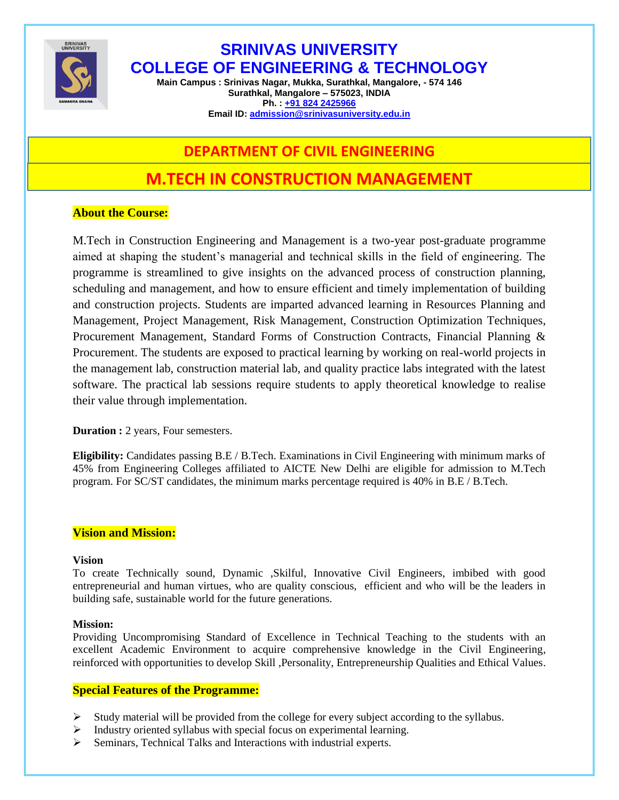

# **SRINIVAS UNIVERSITY COLLEGE OF ENGINEERING & TECHNOLOGY**

**Main Campus : Srinivas Nagar, Mukka, Surathkal, Mangalore, - 574 146 Surathkal, Mangalore – 575023, INDIA Ph. : [+91 824 2425966](tel:+918242425966) Email ID: [admission@srinivasuniversity.edu.in](mailto:admission@srinivasuniversity.edu.in)**

## **DEPARTMENT OF CIVIL ENGINEERING**

# **M.TECH IN CONSTRUCTION MANAGEMENT**

## **About the Course:**

M.Tech in Construction Engineering and Management is a two-year post-graduate programme aimed at shaping the student's managerial and technical skills in the field of engineering. The programme is streamlined to give insights on the advanced process of construction planning, scheduling and management, and how to ensure efficient and timely implementation of building and construction projects. Students are imparted advanced learning in Resources Planning and Management, Project Management, Risk Management, Construction Optimization Techniques, Procurement Management, Standard Forms of Construction Contracts, Financial Planning & Procurement. The students are exposed to practical learning by working on real-world projects in the management lab, construction material lab, and quality practice labs integrated with the latest software. The practical lab sessions require students to apply theoretical knowledge to realise their value through implementation.

### **Duration :** 2 years, Four semesters.

**Eligibility:** Candidates passing B.E / B.Tech. Examinations in Civil Engineering with minimum marks of 45% from Engineering Colleges affiliated to AICTE New Delhi are eligible for admission to M.Tech program. For SC/ST candidates, the minimum marks percentage required is 40% in B.E / B.Tech.

### **Vision and Mission:**

### **Vision**

To create Technically sound, Dynamic ,Skilful, Innovative Civil Engineers, imbibed with good entrepreneurial and human virtues, who are quality conscious, efficient and who will be the leaders in building safe, sustainable world for the future generations.

### **Mission:**

Providing Uncompromising Standard of Excellence in Technical Teaching to the students with an excellent Academic Environment to acquire comprehensive knowledge in the Civil Engineering, reinforced with opportunities to develop Skill ,Personality, Entrepreneurship Qualities and Ethical Values.

### **Special Features of the Programme:**

- Study material will be provided from the college for every subject according to the syllabus.
- $\triangleright$  Industry oriented syllabus with special focus on experimental learning.
- Seminars, Technical Talks and Interactions with industrial experts.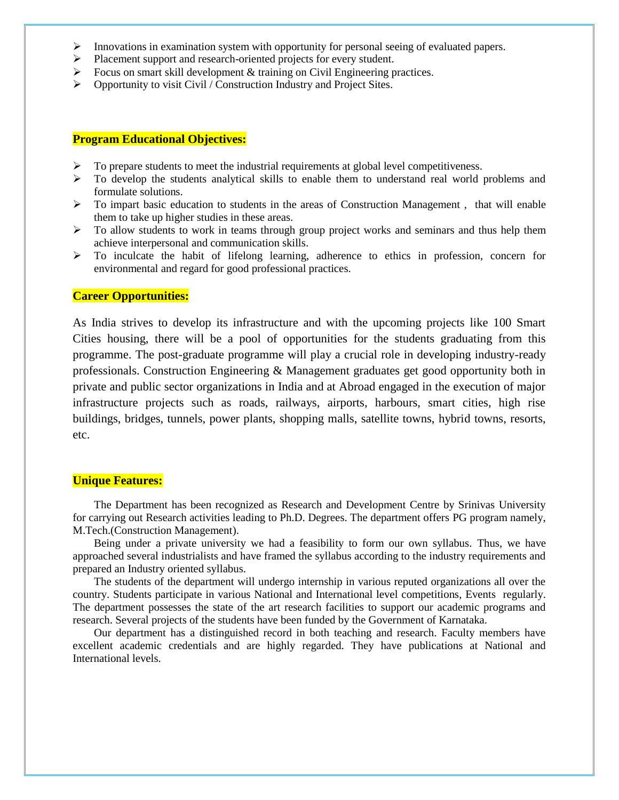- $\triangleright$  Innovations in examination system with opportunity for personal seeing of evaluated papers.
- Placement support and research-oriented projects for every student.
- $\triangleright$  Focus on smart skill development & training on Civil Engineering practices.
- $\triangleright$  Opportunity to visit Civil / Construction Industry and Project Sites.

#### **Program Educational Objectives:**

- $\triangleright$  To prepare students to meet the industrial requirements at global level competitiveness.
- $\triangleright$  To develop the students analytical skills to enable them to understand real world problems and formulate solutions.
- $\triangleright$  To impart basic education to students in the areas of Construction Management, that will enable them to take up higher studies in these areas.
- $\triangleright$  To allow students to work in teams through group project works and seminars and thus help them achieve interpersonal and communication skills.
- $\triangleright$  To inculcate the habit of lifelong learning, adherence to ethics in profession, concern for environmental and regard for good professional practices.

#### **Career Opportunities:**

As India strives to develop its infrastructure and with the upcoming projects like 100 Smart Cities housing, there will be a pool of opportunities for the students graduating from this programme. The post-graduate programme will play a crucial role in developing industry-ready professionals. Construction Engineering & Management graduates get good opportunity both in private and public sector organizations in India and at Abroad engaged in the execution of major infrastructure projects such as roads, railways, airports, harbours, smart cities, high rise buildings, bridges, tunnels, power plants, shopping malls, satellite towns, hybrid towns, resorts, etc.

#### **Unique Features:**

The Department has been recognized as Research and Development Centre by Srinivas University for carrying out Research activities leading to Ph.D. Degrees. The department offers PG program namely, M.Tech.(Construction Management).

Being under a private university we had a feasibility to form our own syllabus. Thus, we have approached several industrialists and have framed the syllabus according to the industry requirements and prepared an Industry oriented syllabus.

The students of the department will undergo internship in various reputed organizations all over the country. Students participate in various National and International level competitions, Events regularly. The department possesses the state of the art research facilities to support our academic programs and research. Several projects of the students have been funded by the Government of Karnataka.

Our department has a distinguished record in both teaching and research. Faculty members have excellent academic credentials and are highly regarded. They have publications at National and International levels.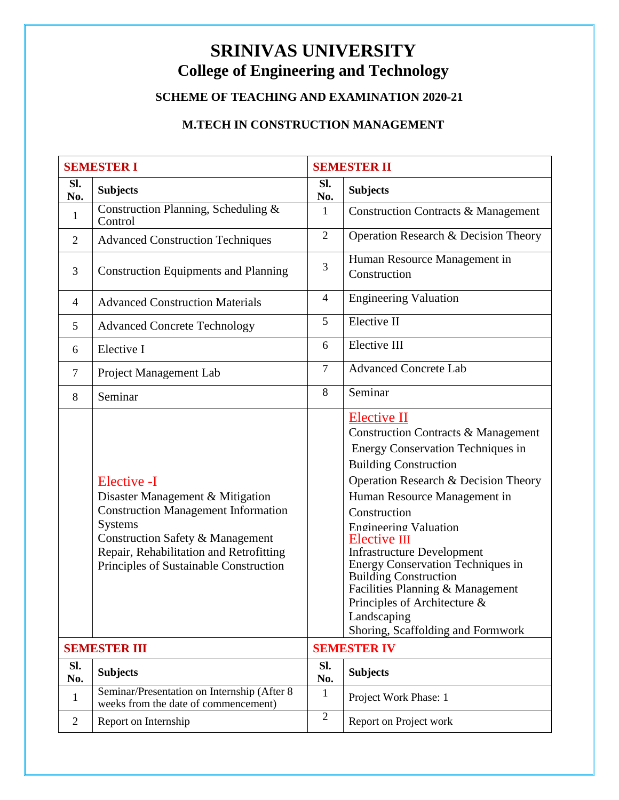# **SRINIVAS UNIVERSITY College of Engineering and Technology**

## **SCHEME OF TEACHING AND EXAMINATION 2020-21**

## **M.TECH IN CONSTRUCTION MANAGEMENT**

| <b>SEMESTER I</b>   |                                                                                                                                                                                                                                          | <b>SEMESTER II</b> |                                                                                                                                                                                                                                                                                                                                                                                                                                                                                                                     |
|---------------------|------------------------------------------------------------------------------------------------------------------------------------------------------------------------------------------------------------------------------------------|--------------------|---------------------------------------------------------------------------------------------------------------------------------------------------------------------------------------------------------------------------------------------------------------------------------------------------------------------------------------------------------------------------------------------------------------------------------------------------------------------------------------------------------------------|
| Sl.<br>No.          | <b>Subjects</b>                                                                                                                                                                                                                          | Sl.<br>No.         | <b>Subjects</b>                                                                                                                                                                                                                                                                                                                                                                                                                                                                                                     |
| $\mathbf{1}$        | Construction Planning, Scheduling &<br>Control                                                                                                                                                                                           | 1                  | <b>Construction Contracts &amp; Management</b>                                                                                                                                                                                                                                                                                                                                                                                                                                                                      |
| $\overline{2}$      | <b>Advanced Construction Techniques</b>                                                                                                                                                                                                  | $\overline{2}$     | Operation Research & Decision Theory                                                                                                                                                                                                                                                                                                                                                                                                                                                                                |
| 3                   | <b>Construction Equipments and Planning</b>                                                                                                                                                                                              | 3                  | Human Resource Management in<br>Construction                                                                                                                                                                                                                                                                                                                                                                                                                                                                        |
| $\overline{4}$      | <b>Advanced Construction Materials</b>                                                                                                                                                                                                   | $\overline{4}$     | <b>Engineering Valuation</b>                                                                                                                                                                                                                                                                                                                                                                                                                                                                                        |
| 5                   | <b>Advanced Concrete Technology</b>                                                                                                                                                                                                      | 5                  | Elective II                                                                                                                                                                                                                                                                                                                                                                                                                                                                                                         |
| 6                   | Elective I                                                                                                                                                                                                                               | 6                  | Elective III                                                                                                                                                                                                                                                                                                                                                                                                                                                                                                        |
| $\overline{7}$      | Project Management Lab                                                                                                                                                                                                                   | 7                  | <b>Advanced Concrete Lab</b>                                                                                                                                                                                                                                                                                                                                                                                                                                                                                        |
| 8                   | Seminar                                                                                                                                                                                                                                  | 8                  | Seminar                                                                                                                                                                                                                                                                                                                                                                                                                                                                                                             |
|                     | Elective -I<br>Disaster Management & Mitigation<br><b>Construction Management Information</b><br><b>Systems</b><br>Construction Safety & Management<br>Repair, Rehabilitation and Retrofitting<br>Principles of Sustainable Construction |                    | <b>Elective II</b><br><b>Construction Contracts &amp; Management</b><br><b>Energy Conservation Techniques in</b><br><b>Building Construction</b><br>Operation Research & Decision Theory<br>Human Resource Management in<br>Construction<br>Engineering Valuation<br>Elective III<br><b>Infrastructure Development</b><br>Energy Conservation Techniques in<br><b>Building Construction</b><br>Facilities Planning & Management<br>Principles of Architecture &<br>Landscaping<br>Shoring, Scaffolding and Formwork |
| <b>SEMESTER III</b> |                                                                                                                                                                                                                                          | <b>SEMESTER IV</b> |                                                                                                                                                                                                                                                                                                                                                                                                                                                                                                                     |
| Sl.<br>No.          | <b>Subjects</b>                                                                                                                                                                                                                          | SI.<br>No.         | <b>Subjects</b>                                                                                                                                                                                                                                                                                                                                                                                                                                                                                                     |
| $\mathbf{1}$        | Seminar/Presentation on Internship (After 8)<br>weeks from the date of commencement)                                                                                                                                                     | 1                  | Project Work Phase: 1                                                                                                                                                                                                                                                                                                                                                                                                                                                                                               |
| $\overline{2}$      | Report on Internship                                                                                                                                                                                                                     | $\overline{2}$     | Report on Project work                                                                                                                                                                                                                                                                                                                                                                                                                                                                                              |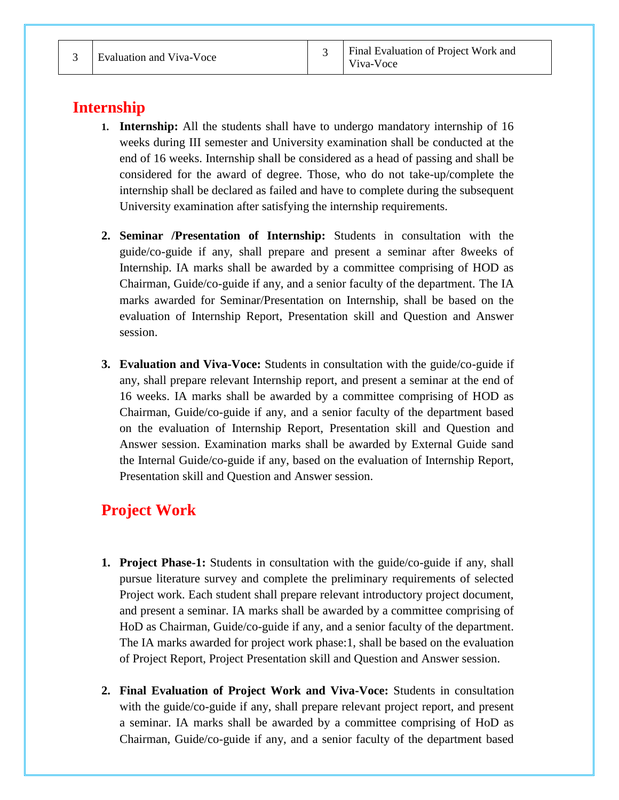## **Internship**

- **1. Internship:** All the students shall have to undergo mandatory internship of 16 weeks during III semester and University examination shall be conducted at the end of 16 weeks. Internship shall be considered as a head of passing and shall be considered for the award of degree. Those, who do not take-up/complete the internship shall be declared as failed and have to complete during the subsequent University examination after satisfying the internship requirements.
- **2. Seminar /Presentation of Internship:** Students in consultation with the guide/co-guide if any, shall prepare and present a seminar after 8weeks of Internship. IA marks shall be awarded by a committee comprising of HOD as Chairman, Guide/co-guide if any, and a senior faculty of the department. The IA marks awarded for Seminar/Presentation on Internship, shall be based on the evaluation of Internship Report, Presentation skill and Question and Answer session.
- **3. Evaluation and Viva-Voce:** Students in consultation with the guide/co-guide if any, shall prepare relevant Internship report, and present a seminar at the end of 16 weeks. IA marks shall be awarded by a committee comprising of HOD as Chairman, Guide/co-guide if any, and a senior faculty of the department based on the evaluation of Internship Report, Presentation skill and Question and Answer session. Examination marks shall be awarded by External Guide sand the Internal Guide/co-guide if any, based on the evaluation of Internship Report, Presentation skill and Question and Answer session.

## **Project Work**

- **1. Project Phase-1:** Students in consultation with the guide/co-guide if any, shall pursue literature survey and complete the preliminary requirements of selected Project work. Each student shall prepare relevant introductory project document, and present a seminar. IA marks shall be awarded by a committee comprising of HoD as Chairman, Guide/co-guide if any, and a senior faculty of the department. The IA marks awarded for project work phase:1, shall be based on the evaluation of Project Report, Project Presentation skill and Question and Answer session.
- **2. Final Evaluation of Project Work and Viva-Voce:** Students in consultation with the guide/co-guide if any, shall prepare relevant project report, and present a seminar. IA marks shall be awarded by a committee comprising of HoD as Chairman, Guide/co-guide if any, and a senior faculty of the department based